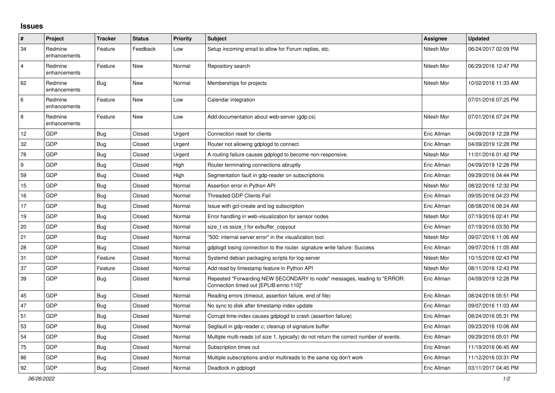## **Issues**

| $\pmb{\#}$     | Project                 | <b>Tracker</b> | <b>Status</b> | <b>Priority</b> | <b>Subject</b>                                                                                                      | <b>Assignee</b> | <b>Updated</b>      |
|----------------|-------------------------|----------------|---------------|-----------------|---------------------------------------------------------------------------------------------------------------------|-----------------|---------------------|
| 34             | Redmine<br>enhancements | Feature        | Feedback      | Low             | Setup incoming email to allow for Forum replies, etc.                                                               | Nitesh Mor      | 06/24/2017 02:09 PM |
| $\overline{4}$ | Redmine<br>enhancements | Feature        | New           | Normal          | Repository search                                                                                                   | Nitesh Mor      | 06/29/2016 12:47 PM |
| 62             | Redmine<br>enhancements | <b>Bug</b>     | <b>New</b>    | Normal          | Memberships for projects                                                                                            | Nitesh Mor      | 10/02/2016 11:33 AM |
| 6              | Redmine<br>enhancements | Feature        | <b>New</b>    | Low             | Calendar integration                                                                                                |                 | 07/01/2016 07:25 PM |
| 8              | Redmine<br>enhancements | Feature        | <b>New</b>    | Low             | Add documentation about web-server (gdp.cs)                                                                         | Nitesh Mor      | 07/01/2016 07:24 PM |
| 12             | GDP                     | Bug            | Closed        | Urgent          | Connection reset for clients                                                                                        | Eric Allman     | 04/09/2019 12:28 PM |
| 32             | <b>GDP</b>              | <b>Bug</b>     | Closed        | Urgent          | Router not allowing gdplogd to connect                                                                              | Eric Allman     | 04/09/2019 12:28 PM |
| 78             | GDP                     | <b>Bug</b>     | Closed        | Urgent          | A routing failure causes gdplogd to become non-responsive.                                                          | Nitesh Mor      | 11/01/2016 01:42 PM |
| 9              | GDP                     | <b>Bug</b>     | Closed        | High            | Router terminating connections abruptly                                                                             | Eric Allman     | 04/09/2019 12:28 PM |
| 59             | GDP                     | Bug            | Closed        | High            | Segmentation fault in gdp-reader on subscriptions                                                                   | Eric Allman     | 09/29/2016 04:44 PM |
| 15             | GDP                     | <b>Bug</b>     | Closed        | Normal          | Assertion error in Python API                                                                                       | Nitesh Mor      | 08/22/2016 12:32 PM |
| 16             | GDP                     | <b>Bug</b>     | Closed        | Normal          | <b>Threaded GDP Clients Fail</b>                                                                                    | Eric Allman     | 09/05/2016 04:23 PM |
| 17             | GDP                     | Bug            | Closed        | Normal          | Issue with gcl-create and log subscription                                                                          | Eric Allman     | 08/08/2016 08:24 AM |
| 19             | <b>GDP</b>              | <b>Bug</b>     | Closed        | Normal          | Error handling in web-visualization for sensor nodes                                                                | Nitesh Mor      | 07/19/2016 02:41 PM |
| 20             | GDP                     | <b>Bug</b>     | Closed        | Normal          | size t vs ssize t for evbuffer copyout                                                                              | Eric Allman     | 07/19/2016 03:50 PM |
| 21             | GDP                     | Bug            | Closed        | Normal          | "500: internal server error" in the visualization tool.                                                             | Nitesh Mor      | 09/07/2016 11:06 AM |
| 28             | GDP                     | <b>Bug</b>     | Closed        | Normal          | gdplogd losing connection to the router. signature write failure: Success                                           | Eric Allman     | 09/07/2016 11:05 AM |
| 31             | GDP                     | Feature        | Closed        | Normal          | Systemd debian packaging scripts for log-server                                                                     | Nitesh Mor      | 10/15/2016 02:43 PM |
| 37             | GDP                     | Feature        | Closed        | Normal          | Add read by timestamp feature in Python API                                                                         | Nitesh Mor      | 08/11/2016 12:43 PM |
| 39             | GDP                     | <b>Bug</b>     | Closed        | Normal          | Repeated "Forwarding NEW SECONDARY to node" messages, leading to "ERROR:<br>Connection timed out [EPLIB:errno:110]" | Eric Allman     | 04/09/2019 12:28 PM |
| 45             | <b>GDP</b>              | Bug            | Closed        | Normal          | Reading errors (timeout, assertion failure, end of file)                                                            | Eric Allman     | 08/24/2016 05:51 PM |
| 47             | GDP                     | <b>Bug</b>     | Closed        | Normal          | No sync to disk after timestamp index update                                                                        | Eric Allman     | 09/07/2016 11:03 AM |
| 51             | <b>GDP</b>              | <b>Bug</b>     | Closed        | Normal          | Corrupt time-index causes gdplogd to crash (assertion failure)                                                      | Eric Allman     | 08/24/2016 05:31 PM |
| 53             | GDP                     | <b>Bug</b>     | Closed        | Normal          | Segfault in gdp-reader.c; cleanup of signature buffer                                                               | Eric Allman     | 09/23/2016 10:06 AM |
| 54             | GDP                     | <b>Bug</b>     | Closed        | Normal          | Multiple multi-reads (of size 1, typically) do not return the correct number of events.                             | Eric Allman     | 09/29/2016 05:01 PM |
| 75             | GDP                     | Bug            | Closed        | Normal          | Subscription times out                                                                                              | Eric Allman     | 11/19/2016 06:45 AM |
| 86             | GDP                     | <b>Bug</b>     | Closed        | Normal          | Multiple subscriptions and/or multireads to the same log don't work                                                 | Eric Allman     | 11/12/2016 03:31 PM |
| 92             | GDP                     | Bug            | Closed        | Normal          | Deadlock in gdplogd                                                                                                 | Eric Allman     | 03/11/2017 04:45 PM |